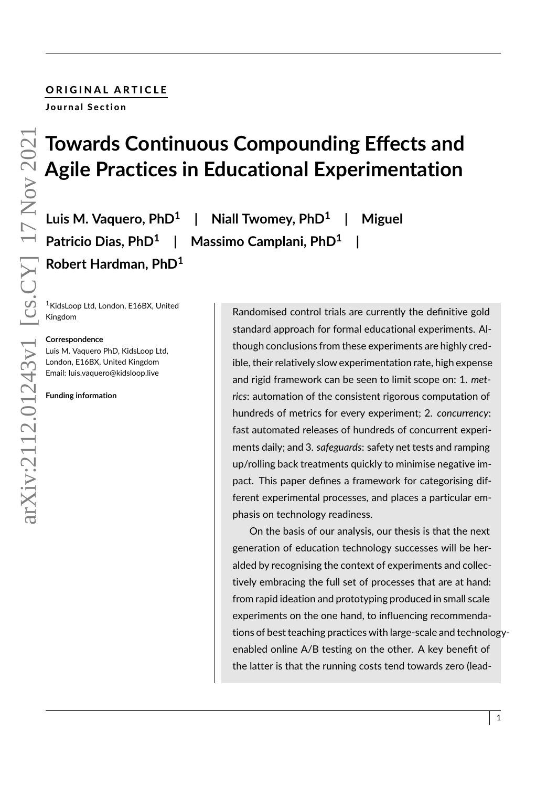# ORIGINAL ARTICLE

Journal Section

# **Towards Continuous Compounding Effects and Agile Practices in Educational Experimentation**

**Luis M. Vaquero, PhD<sup>1</sup> | Niall Twomey, PhD<sup>1</sup> Patricio Dias, PhD<sup>1</sup> | Massimo Camplani, PhD<sup>1</sup> Robert Hardman, PhD<sup>1</sup>**

<sup>1</sup>KidsLoop Ltd, London, E16BX, United Kingdom

#### **Correspondence**

Luis M. Vaquero PhD, KidsLoop Ltd, London, E16BX, United Kingdom Email: luis.vaquero@kidsloop.live

**Funding information**

Randomised control trials are currently the definitive gold standard approach for formal educational experiments. Although conclusions from these experiments are highly credible, their relatively slow experimentation rate, high expense and rigid framework can be seen to limit scope on: 1. *metrics*: automation of the consistent rigorous computation of hundreds of metrics for every experiment; 2. *concurrency*: fast automated releases of hundreds of concurrent experiments daily; and 3. *safeguards*: safety net tests and ramping up/rolling back treatments quickly to minimise negative impact. This paper defines a framework for categorising different experimental processes, and places a particular emphasis on technology readiness.

**| Miguel**

**|**

On the basis of our analysis, our thesis is that the next generation of education technology successes will be heralded by recognising the context of experiments and collectively embracing the full set of processes that are at hand: from rapid ideation and prototyping produced in small scale experiments on the one hand, to influencing recommendations of best teaching practices with large-scale and technologyenabled online A/B testing on the other. A key benefit of the latter is that the running costs tend towards zero (lead-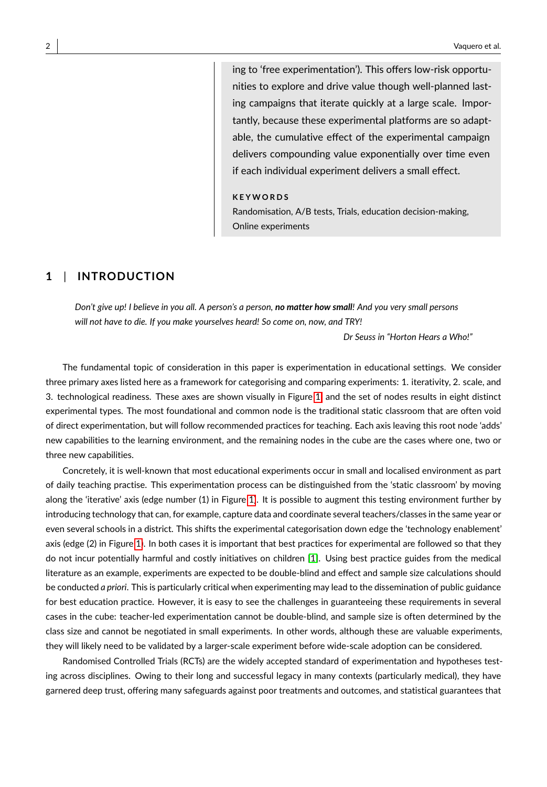ing to 'free experimentation'). This offers low-risk opportunities to explore and drive value though well-planned lasting campaigns that iterate quickly at a large scale. Importantly, because these experimental platforms are so adaptable, the cumulative effect of the experimental campaign delivers compounding value exponentially over time even if each individual experiment delivers a small effect.

#### **K E Y W O R D S**

Randomisation, A/B tests, Trials, education decision-making, Online experiments

# **1** | **INTRODUCTION**

*Don't give up! I believe in you all. A person's a person, no matter how small! And you very small persons will not have to die. If you make yourselves heard! So come on, now, and TRY!*

*Dr Seuss in "Horton Hears a Who!"*

The fundamental topic of consideration in this paper is experimentation in educational settings. We consider three primary axes listed here as a framework for categorising and comparing experiments: 1. iterativity, 2. scale, and 3. technological readiness. These axes are shown visually in Figure [1,](#page-2-0) and the set of nodes results in eight distinct experimental types. The most foundational and common node is the traditional static classroom that are often void of direct experimentation, but will follow recommended practices for teaching. Each axis leaving this root node 'adds' new capabilities to the learning environment, and the remaining nodes in the cube are the cases where one, two or three new capabilities.

Concretely, it is well-known that most educational experiments occur in small and localised environment as part of daily teaching practise. This experimentation process can be distinguished from the 'static classroom' by moving along the 'iterative' axis (edge number (1) in Figure [1\)](#page-2-0). It is possible to augment this testing environment further by introducing technology that can, for example, capture data and coordinate several teachers/classes in the same year or even several schools in a district. This shifts the experimental categorisation down edge the 'technology enablement' axis (edge (2) in Figure [1\)](#page-2-0). In both cases it is important that best practices for experimental are followed so that they do not incur potentially harmful and costly initiatives on children [\[1\]](#page-14-0). Using best practice guides from the medical literature as an example, experiments are expected to be double-blind and effect and sample size calculations should be conducted *a priori*. This is particularly critical when experimenting may lead to the dissemination of public guidance for best education practice. However, it is easy to see the challenges in guaranteeing these requirements in several cases in the cube: teacher-led experimentation cannot be double-blind, and sample size is often determined by the class size and cannot be negotiated in small experiments. In other words, although these are valuable experiments, they will likely need to be validated by a larger-scale experiment before wide-scale adoption can be considered.

Randomised Controlled Trials (RCTs) are the widely accepted standard of experimentation and hypotheses testing across disciplines. Owing to their long and successful legacy in many contexts (particularly medical), they have garnered deep trust, offering many safeguards against poor treatments and outcomes, and statistical guarantees that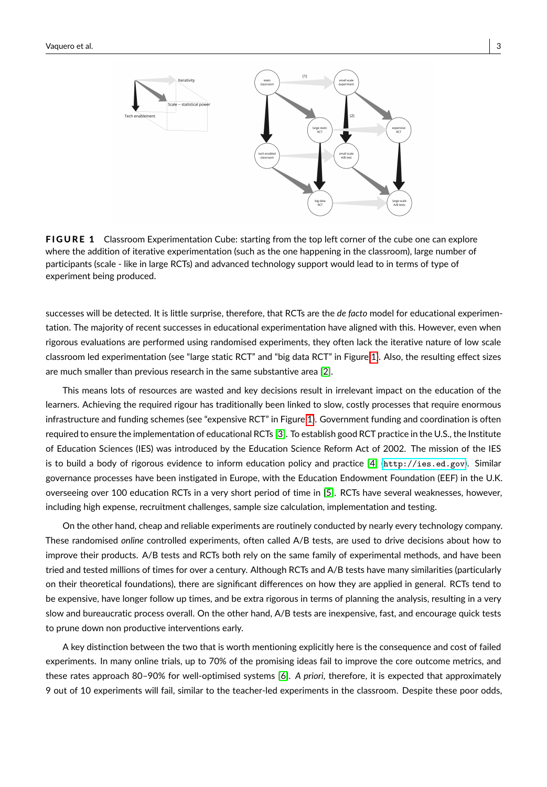<span id="page-2-0"></span>

**FIGURE 1** Classroom Experimentation Cube: starting from the top left corner of the cube one can explore where the addition of iterative experimentation (such as the one happening in the classroom), large number of participants (scale - like in large RCTs) and advanced technology support would lead to in terms of type of experiment being produced.

successes will be detected. It is little surprise, therefore, that RCTs are the *de facto* model for educational experimentation. The majority of recent successes in educational experimentation have aligned with this. However, even when rigorous evaluations are performed using randomised experiments, they often lack the iterative nature of low scale classroom led experimentation (see "large static RCT" and "big data RCT" in Figure [1\)](#page-2-0). Also, the resulting effect sizes are much smaller than previous research in the same substantive area [\[2\]](#page-14-1).

This means lots of resources are wasted and key decisions result in irrelevant impact on the education of the learners. Achieving the required rigour has traditionally been linked to slow, costly processes that require enormous infrastructure and funding schemes (see "expensive RCT" in Figure [1\)](#page-2-0). Government funding and coordination is often required to ensure the implementation of educational RCTs [\[3\]](#page-14-2). To establish good RCT practice in the U.S., the Institute of Education Sciences (IES) was introduced by the Education Science Reform Act of 2002. The mission of the IES is to build a body of rigorous evidence to inform education policy and practice [\[4\]](#page-14-3) (<http://ies.ed.gov>). Similar governance processes have been instigated in Europe, with the Education Endowment Foundation (EEF) in the U.K. overseeing over 100 education RCTs in a very short period of time in [\[5\]](#page-14-4). RCTs have several weaknesses, however, including high expense, recruitment challenges, sample size calculation, implementation and testing.

On the other hand, cheap and reliable experiments are routinely conducted by nearly every technology company. These randomised *online* controlled experiments, often called A/B tests, are used to drive decisions about how to improve their products. A/B tests and RCTs both rely on the same family of experimental methods, and have been tried and tested millions of times for over a century. Although RCTs and A/B tests have many similarities (particularly on their theoretical foundations), there are significant differences on how they are applied in general. RCTs tend to be expensive, have longer follow up times, and be extra rigorous in terms of planning the analysis, resulting in a very slow and bureaucratic process overall. On the other hand, A/B tests are inexpensive, fast, and encourage quick tests to prune down non productive interventions early.

A key distinction between the two that is worth mentioning explicitly here is the consequence and cost of failed experiments. In many online trials, up to 70% of the promising ideas fail to improve the core outcome metrics, and these rates approach 80–90% for well-optimised systems [\[6\]](#page-14-5). *A priori*, therefore, it is expected that approximately 9 out of 10 experiments will fail, similar to the teacher-led experiments in the classroom. Despite these poor odds,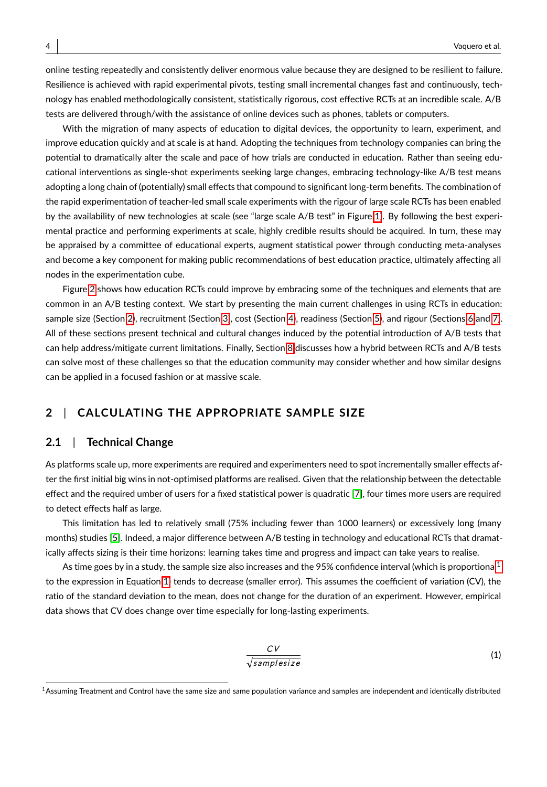online testing repeatedly and consistently deliver enormous value because they are designed to be resilient to failure. Resilience is achieved with rapid experimental pivots, testing small incremental changes fast and continuously, technology has enabled methodologically consistent, statistically rigorous, cost effective RCTs at an incredible scale. A/B tests are delivered through/with the assistance of online devices such as phones, tablets or computers.

With the migration of many aspects of education to digital devices, the opportunity to learn, experiment, and improve education quickly and at scale is at hand. Adopting the techniques from technology companies can bring the potential to dramatically alter the scale and pace of how trials are conducted in education. Rather than seeing educational interventions as single-shot experiments seeking large changes, embracing technology-like A/B test means adopting a long chain of (potentially) small effects that compound to significant long-term benefits. The combination of the rapid experimentation of teacher-led small scale experiments with the rigour of large scale RCTs has been enabled by the availability of new technologies at scale (see "large scale A/B test" in Figure [1\)](#page-2-0). By following the best experimental practice and performing experiments at scale, highly credible results should be acquired. In turn, these may be appraised by a committee of educational experts, augment statistical power through conducting meta-analyses and become a key component for making public recommendations of best education practice, ultimately affecting all nodes in the experimentation cube.

Figure [2](#page-4-0) shows how education RCTs could improve by embracing some of the techniques and elements that are common in an A/B testing context. We start by presenting the main current challenges in using RCTs in education: sample size (Section [2\)](#page-3-0), recruitment (Section [3\)](#page-6-0), cost (Section [4\)](#page-6-1), readiness (Section [5\)](#page-7-0), and rigour (Sections [6](#page-8-0) and [7\)](#page-9-0). All of these sections present technical and cultural changes induced by the potential introduction of A/B tests that can help address/mitigate current limitations. Finally, Section [8](#page-10-0) discusses how a hybrid between RCTs and A/B tests can solve most of these challenges so that the education community may consider whether and how similar designs can be applied in a focused fashion or at massive scale.

# <span id="page-3-0"></span>**2** | **CALCULATING THE APPROPRIATE SAMPLE SIZE**

## **2.1** | **Technical Change**

As platforms scale up, more experiments are required and experimenters need to spot incrementally smaller effects after the first initial big wins in not-optimised platforms are realised. Given that the relationship between the detectable effect and the required umber of users for a fixed statistical power is quadratic [\[7\]](#page-14-6), four times more users are required to detect effects half as large.

This limitation has led to relatively small (75% including fewer than 1000 learners) or excessively long (many months) studies [\[5\]](#page-14-4). Indeed, a major difference between A/B testing in technology and educational RCTs that dramatically affects sizing is their time horizons: learning takes time and progress and impact can take years to realise.

<span id="page-3-2"></span>As time goes by in a study, the sample size also increases and the 95% confidence interval (which is proportional<sup>[1](#page-3-1)</sup> to the expression in Equation [1\)](#page-3-2) tends to decrease (smaller error). This assumes the coefficient of variation (CV), the ratio of the standard deviation to the mean, does not change for the duration of an experiment. However, empirical data shows that CV does change over time especially for long-lasting experiments.

$$
\frac{CV}{\sqrt{samplesize}} \tag{1}
$$

<span id="page-3-1"></span><sup>&</sup>lt;sup>1</sup> Assuming Treatment and Control have the same size and same population variance and samples are independent and identically distributed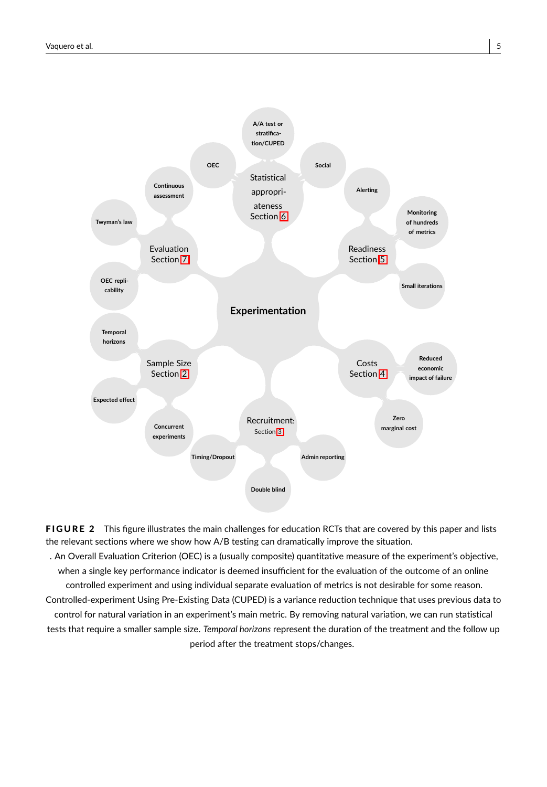<span id="page-4-0"></span>

FIGURE 2 This figure illustrates the main challenges for education RCTs that are covered by this paper and lists the relevant sections where we show how A/B testing can dramatically improve the situation.

. An Overall Evaluation Criterion (OEC) is a (usually composite) quantitative measure of the experiment's objective, when a single key performance indicator is deemed insufficient for the evaluation of the outcome of an online controlled experiment and using individual separate evaluation of metrics is not desirable for some reason. Controlled-experiment Using Pre-Existing Data (CUPED) is a variance reduction technique that uses previous data to control for natural variation in an experiment's main metric. By removing natural variation, we can run statistical tests that require a smaller sample size. *Temporal horizons* represent the duration of the treatment and the follow up period after the treatment stops/changes.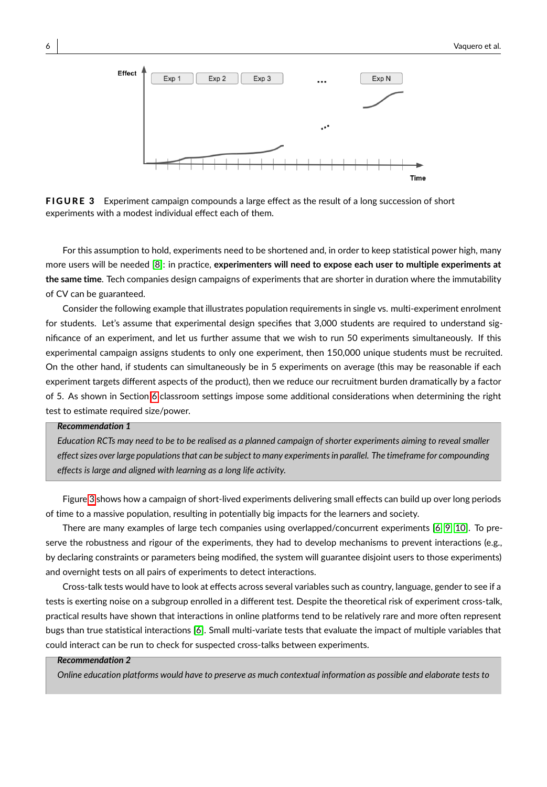<span id="page-5-0"></span>

FIGURE 3 Experiment campaign compounds a large effect as the result of a long succession of short experiments with a modest individual effect each of them.

For this assumption to hold, experiments need to be shortened and, in order to keep statistical power high, many more users will be needed [\[8\]](#page-14-7): in practice, **experimenters will need to expose each user to multiple experiments at the same time**. Tech companies design campaigns of experiments that are shorter in duration where the immutability of CV can be guaranteed.

Consider the following example that illustrates population requirements in single vs. multi-experiment enrolment for students. Let's assume that experimental design specifies that 3,000 students are required to understand significance of an experiment, and let us further assume that we wish to run 50 experiments simultaneously. If this experimental campaign assigns students to only one experiment, then 150,000 unique students must be recruited. On the other hand, if students can simultaneously be in 5 experiments on average (this may be reasonable if each experiment targets different aspects of the product), then we reduce our recruitment burden dramatically by a factor of 5. As shown in Section [6](#page-8-0) classroom settings impose some additional considerations when determining the right test to estimate required size/power.

#### *Recommendation 1*

*Education RCTs may need to be to be realised as a planned campaign of shorter experiments aiming to reveal smaller effect sizes over large populations that can be subject to many experiments in parallel. The timeframe for compounding effects is large and aligned with learning as a long life activity.*

Figure [3](#page-5-0) shows how a campaign of short-lived experiments delivering small effects can build up over long periods of time to a massive population, resulting in potentially big impacts for the learners and society.

There are many examples of large tech companies using overlapped/concurrent experiments [\[6,](#page-14-5) [9,](#page-14-8) [10\]](#page-14-9). To preserve the robustness and rigour of the experiments, they had to develop mechanisms to prevent interactions (e.g., by declaring constraints or parameters being modified, the system will guarantee disjoint users to those experiments) and overnight tests on all pairs of experiments to detect interactions.

Cross-talk tests would have to look at effects across several variables such as country, language, gender to see if a tests is exerting noise on a subgroup enrolled in a different test. Despite the theoretical risk of experiment cross-talk, practical results have shown that interactions in online platforms tend to be relatively rare and more often represent bugs than true statistical interactions [\[6\]](#page-14-5). Small multi-variate tests that evaluate the impact of multiple variables that could interact can be run to check for suspected cross-talks between experiments.

#### *Recommendation 2*

*Online education platforms would have to preserve as much contextual information as possible and elaborate tests to*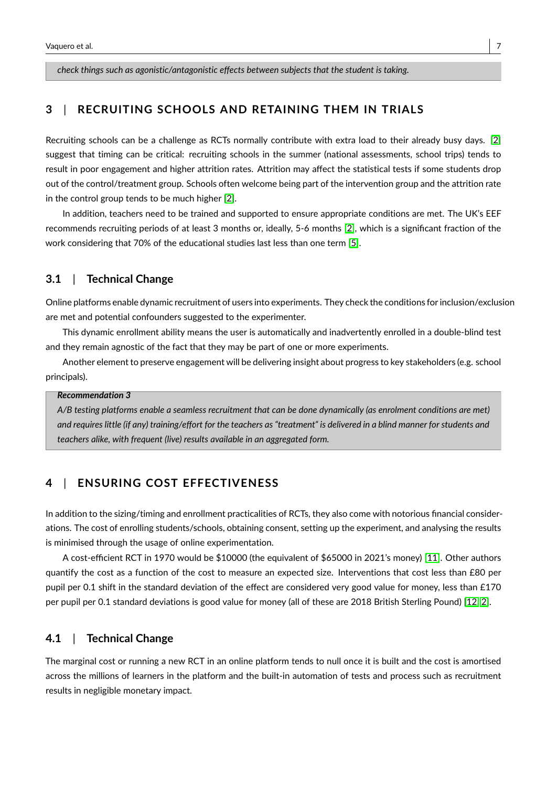*check things such as agonistic/antagonistic effects between subjects that the student is taking.*

# <span id="page-6-0"></span>**3** | **RECRUITING SCHOOLS AND RETAINING THEM IN TRIALS**

Recruiting schools can be a challenge as RCTs normally contribute with extra load to their already busy days. [\[2\]](#page-14-1) suggest that timing can be critical: recruiting schools in the summer (national assessments, school trips) tends to result in poor engagement and higher attrition rates. Attrition may affect the statistical tests if some students drop out of the control/treatment group. Schools often welcome being part of the intervention group and the attrition rate in the control group tends to be much higher [\[2\]](#page-14-1).

In addition, teachers need to be trained and supported to ensure appropriate conditions are met. The UK's EEF recommends recruiting periods of at least 3 months or, ideally, 5-6 months [\[2\]](#page-14-1), which is a significant fraction of the work considering that 70% of the educational studies last less than one term [\[5\]](#page-14-4).

# **3.1** | **Technical Change**

Online platforms enable dynamic recruitment of users into experiments. They check the conditions for inclusion/exclusion are met and potential confounders suggested to the experimenter.

This dynamic enrollment ability means the user is automatically and inadvertently enrolled in a double-blind test and they remain agnostic of the fact that they may be part of one or more experiments.

Another element to preserve engagement will be delivering insight about progress to key stakeholders (e.g. school principals).

#### *Recommendation 3*

*A/B testing platforms enable a seamless recruitment that can be done dynamically (as enrolment conditions are met) and requires little (if any) training/effort for the teachers as "treatment" is delivered in a blind manner for students and teachers alike, with frequent (live) results available in an aggregated form.*

# <span id="page-6-1"></span>**4** | **ENSURING COST EFFECTIVENESS**

In addition to the sizing/timing and enrollment practicalities of RCTs, they also come with notorious financial considerations. The cost of enrolling students/schools, obtaining consent, setting up the experiment, and analysing the results is minimised through the usage of online experimentation.

A cost-efficient RCT in 1970 would be \$10000 (the equivalent of \$65000 in 2021's money) [\[11\]](#page-14-10). Other authors quantify the cost as a function of the cost to measure an expected size. Interventions that cost less than £80 per pupil per 0.1 shift in the standard deviation of the effect are considered very good value for money, less than £170 per pupil per 0.1 standard deviations is good value for money (all of these are 2018 British Sterling Pound) [\[12,](#page-14-11) [2\]](#page-14-1).

## **4.1** | **Technical Change**

The marginal cost or running a new RCT in an online platform tends to null once it is built and the cost is amortised across the millions of learners in the platform and the built-in automation of tests and process such as recruitment results in negligible monetary impact.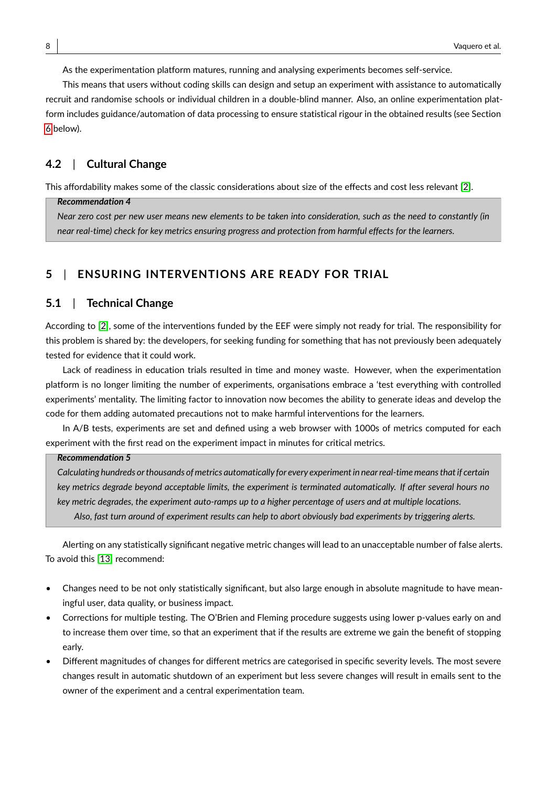As the experimentation platform matures, running and analysing experiments becomes self-service.

This means that users without coding skills can design and setup an experiment with assistance to automatically recruit and randomise schools or individual children in a double-blind manner. Also, an online experimentation platform includes guidance/automation of data processing to ensure statistical rigour in the obtained results (see Section [6](#page-8-0) below).

## **4.2** | **Cultural Change**

This affordability makes some of the classic considerations about size of the effects and cost less relevant [\[2\]](#page-14-1).

#### *Recommendation 4*

*Near zero cost per new user means new elements to be taken into consideration, such as the need to constantly (in near real-time) check for key metrics ensuring progress and protection from harmful effects for the learners.*

# <span id="page-7-0"></span>**5** | **ENSURING INTERVENTIONS ARE READY FOR TRIAL**

# **5.1** | **Technical Change**

According to [\[2\]](#page-14-1), some of the interventions funded by the EEF were simply not ready for trial. The responsibility for this problem is shared by: the developers, for seeking funding for something that has not previously been adequately tested for evidence that it could work.

Lack of readiness in education trials resulted in time and money waste. However, when the experimentation platform is no longer limiting the number of experiments, organisations embrace a 'test everything with controlled experiments' mentality. The limiting factor to innovation now becomes the ability to generate ideas and develop the code for them adding automated precautions not to make harmful interventions for the learners.

In A/B tests, experiments are set and defined using a web browser with 1000s of metrics computed for each experiment with the first read on the experiment impact in minutes for critical metrics.

#### *Recommendation 5*

*Calculating hundreds or thousands of metrics automatically for every experiment in near real-time means that if certain key metrics degrade beyond acceptable limits, the experiment is terminated automatically. If after several hours no key metric degrades, the experiment auto-ramps up to a higher percentage of users and at multiple locations. Also, fast turn around of experiment results can help to abort obviously bad experiments by triggering alerts.*

Alerting on any statistically significant negative metric changes will lead to an unacceptable number of false alerts. To avoid this [\[13\]](#page-14-12) recommend:

- Changes need to be not only statistically significant, but also large enough in absolute magnitude to have meaningful user, data quality, or business impact.
- Corrections for multiple testing. The O'Brien and Fleming procedure suggests using lower p-values early on and to increase them over time, so that an experiment that if the results are extreme we gain the benefit of stopping early.
- Different magnitudes of changes for different metrics are categorised in specific severity levels. The most severe changes result in automatic shutdown of an experiment but less severe changes will result in emails sent to the owner of the experiment and a central experimentation team.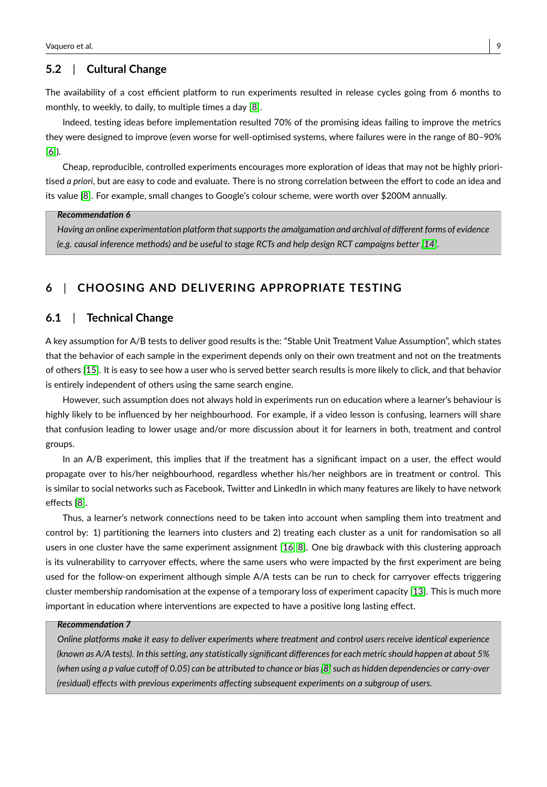## **5.2** | **Cultural Change**

The availability of a cost efficient platform to run experiments resulted in release cycles going from 6 months to monthly, to weekly, to daily, to multiple times a day [\[8\]](#page-14-7).

Indeed, testing ideas before implementation resulted 70% of the promising ideas failing to improve the metrics they were designed to improve (even worse for well-optimised systems, where failures were in the range of 80–90% [\[6\]](#page-14-5)).

Cheap, reproducible, controlled experiments encourages more exploration of ideas that may not be highly prioritised *a priori*, but are easy to code and evaluate. There is no strong correlation between the effort to code an idea and its value [\[8\]](#page-14-7). For example, small changes to Google's colour scheme, were worth over \$200M annually.

#### *Recommendation 6*

*Having an online experimentation platform that supports the amalgamation and archival of different forms of evidence (e.g. causal inference methods) and be useful to stage RCTs and help design RCT campaigns better [\[14\]](#page-14-13)*.

# <span id="page-8-0"></span>**6** | **CHOOSING AND DELIVERING APPROPRIATE TESTING**

## **6.1** | **Technical Change**

A key assumption for A/B tests to deliver good results is the: "Stable Unit Treatment Value Assumption", which states that the behavior of each sample in the experiment depends only on their own treatment and not on the treatments of others [\[15\]](#page-15-0). It is easy to see how a user who is served better search results is more likely to click, and that behavior is entirely independent of others using the same search engine.

However, such assumption does not always hold in experiments run on education where a learner's behaviour is highly likely to be influenced by her neighbourhood. For example, if a video lesson is confusing, learners will share that confusion leading to lower usage and/or more discussion about it for learners in both, treatment and control groups.

In an A/B experiment, this implies that if the treatment has a significant impact on a user, the effect would propagate over to his/her neighbourhood, regardless whether his/her neighbors are in treatment or control. This is similar to social networks such as Facebook, Twitter and LinkedIn in which many features are likely to have network effects [\[8\]](#page-14-7).

Thus, a learner's network connections need to be taken into account when sampling them into treatment and control by: 1) partitioning the learners into clusters and 2) treating each cluster as a unit for randomisation so all users in one cluster have the same experiment assignment [\[16,](#page-15-1) [8\]](#page-14-7). One big drawback with this clustering approach is its vulnerability to carryover effects, where the same users who were impacted by the first experiment are being used for the follow-on experiment although simple A/A tests can be run to check for carryover effects triggering cluster membership randomisation at the expense of a temporary loss of experiment capacity [\[13\]](#page-14-12). This is much more important in education where interventions are expected to have a positive long lasting effect.

#### *Recommendation 7*

*Online platforms make it easy to deliver experiments where treatment and control users receive identical experience (known as A/A tests). In this setting, any statistically significant differences for each metric should happen at about 5% (when using a p value cutoff of 0.05) can be attributed to chance or bias [\[8\]](#page-14-7) such as hidden dependencies or carry-over (residual) effects with previous experiments affecting subsequent experiments on a subgroup of users.*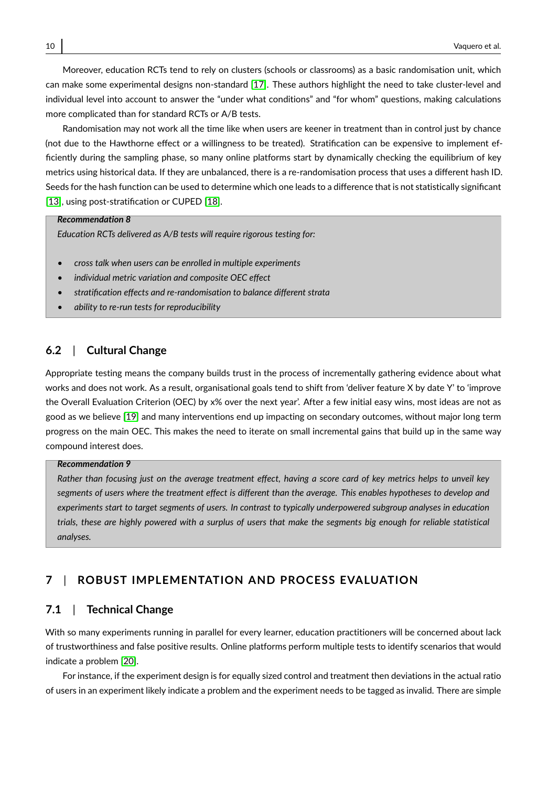Moreover, education RCTs tend to rely on clusters (schools or classrooms) as a basic randomisation unit, which can make some experimental designs non-standard [\[17\]](#page-15-2). These authors highlight the need to take cluster-level and individual level into account to answer the "under what conditions" and "for whom" questions, making calculations more complicated than for standard RCTs or A/B tests.

Randomisation may not work all the time like when users are keener in treatment than in control just by chance (not due to the Hawthorne effect or a willingness to be treated). Stratification can be expensive to implement efficiently during the sampling phase, so many online platforms start by dynamically checking the equilibrium of key metrics using historical data. If they are unbalanced, there is a re-randomisation process that uses a different hash ID. Seeds for the hash function can be used to determine which one leads to a difference that is not statistically significant [\[13\]](#page-14-12), using post-stratification or CUPED [\[18\]](#page-15-3).

#### *Recommendation 8*

*Education RCTs delivered as A/B tests will require rigorous testing for:*

- *cross talk when users can be enrolled in multiple experiments*
- *individual metric variation and composite OEC effect*
- *stratification effects and re-randomisation to balance different strata*
- *ability to re-run tests for reproducibility*

## **6.2** | **Cultural Change**

Appropriate testing means the company builds trust in the process of incrementally gathering evidence about what works and does not work. As a result, organisational goals tend to shift from 'deliver feature X by date Y' to 'improve the Overall Evaluation Criterion (OEC) by x% over the next year'. After a few initial easy wins, most ideas are not as good as we believe [\[19\]](#page-15-4) and many interventions end up impacting on secondary outcomes, without major long term progress on the main OEC. This makes the need to iterate on small incremental gains that build up in the same way compound interest does.

#### *Recommendation 9*

*Rather than focusing just on the average treatment effect, having a score card of key metrics helps to unveil key segments of users where the treatment effect is different than the average. This enables hypotheses to develop and experiments start to target segments of users. In contrast to typically underpowered subgroup analyses in education trials, these are highly powered with a surplus of users that make the segments big enough for reliable statistical analyses.*

# <span id="page-9-0"></span>**7** | **ROBUST IMPLEMENTATION AND PROCESS EVALUATION**

## **7.1** | **Technical Change**

With so many experiments running in parallel for every learner, education practitioners will be concerned about lack of trustworthiness and false positive results. Online platforms perform multiple tests to identify scenarios that would indicate a problem [\[20\]](#page-15-5).

For instance, if the experiment design is for equally sized control and treatment then deviations in the actual ratio of users in an experiment likely indicate a problem and the experiment needs to be tagged as invalid. There are simple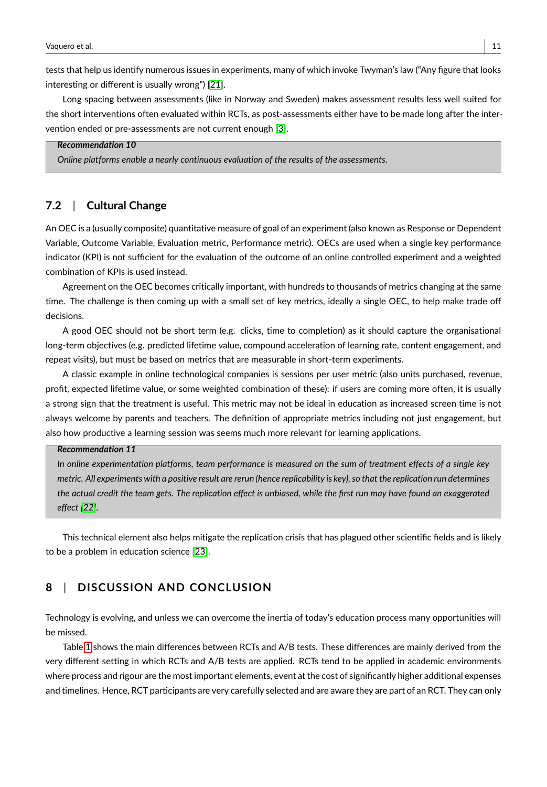tests that help us identify numerous issues in experiments, many of which invoke Twyman's law ("Any figure that looks interesting or different is usually wrong") [\[21\]](#page-15-6).

Long spacing between assessments (like in Norway and Sweden) makes assessment results less well suited for the short interventions often evaluated within RCTs, as post-assessments either have to be made long after the intervention ended or pre-assessments are not current enough [\[3\]](#page-14-2).

### *Recommendation 10*

*Online platforms enable a nearly continuous evaluation of the results of the assessments.*

# **7.2** | **Cultural Change**

An OEC is a (usually composite) quantitative measure of goal of an experiment (also known as Response or Dependent Variable, Outcome Variable, Evaluation metric, Performance metric). OECs are used when a single key performance indicator (KPI) is not sufficient for the evaluation of the outcome of an online controlled experiment and a weighted combination of KPIs is used instead.

Agreement on the OEC becomes critically important, with hundreds to thousands of metrics changing at the same time. The challenge is then coming up with a small set of key metrics, ideally a single OEC, to help make trade off decisions.

A good OEC should not be short term (e.g. clicks, time to completion) as it should capture the organisational long-term objectives (e.g. predicted lifetime value, compound acceleration of learning rate, content engagement, and repeat visits), but must be based on metrics that are measurable in short-term experiments.

A classic example in online technological companies is sessions per user metric (also units purchased, revenue, profit, expected lifetime value, or some weighted combination of these): if users are coming more often, it is usually a strong sign that the treatment is useful. This metric may not be ideal in education as increased screen time is not always welcome by parents and teachers. The definition of appropriate metrics including not just engagement, but also how productive a learning session was seems much more relevant for learning applications.

#### *Recommendation 11*

*In online experimentation platforms, team performance is measured on the sum of treatment effects of a single key metric. All experiments with a positive result are rerun (hence replicability is key), so that the replication run determines the actual credit the team gets. The replication effect is unbiased, while the first run may have found an exaggerated effect [\[22\]](#page-15-7).*

This technical element also helps mitigate the replication crisis that has plagued other scientific fields and is likely to be a problem in education science [\[23\]](#page-15-8).

# <span id="page-10-0"></span>**8** | **DISCUSSION AND CONCLUSION**

Technology is evolving, and unless we can overcome the inertia of today's education process many opportunities will be missed.

Table [1](#page-11-0) shows the main differences between RCTs and A/B tests. These differences are mainly derived from the very different setting in which RCTs and A/B tests are applied. RCTs tend to be applied in academic environments where process and rigour are the most important elements, event at the cost of significantly higher additional expenses and timelines. Hence, RCT participants are very carefully selected and are aware they are part of an RCT. They can only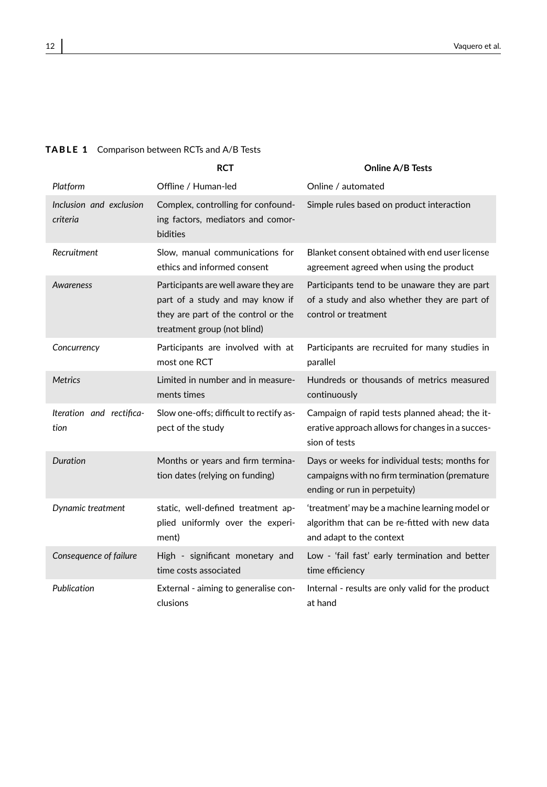|                                     | <b>RCT</b>                                                                                                                                    | <b>Online A/B Tests</b>                                                                                                         |
|-------------------------------------|-----------------------------------------------------------------------------------------------------------------------------------------------|---------------------------------------------------------------------------------------------------------------------------------|
| Platform                            | Offline / Human-led                                                                                                                           | Online / automated                                                                                                              |
| Inclusion and exclusion<br>criteria | Complex, controlling for confound-<br>ing factors, mediators and comor-<br><b>bidities</b>                                                    | Simple rules based on product interaction                                                                                       |
| Recruitment                         | Slow, manual communications for<br>ethics and informed consent                                                                                | Blanket consent obtained with end user license<br>agreement agreed when using the product                                       |
| <b>Awareness</b>                    | Participants are well aware they are<br>part of a study and may know if<br>they are part of the control or the<br>treatment group (not blind) | Participants tend to be unaware they are part<br>of a study and also whether they are part of<br>control or treatment           |
| Concurrency                         | Participants are involved with at<br>most one RCT                                                                                             | Participants are recruited for many studies in<br>parallel                                                                      |
| <b>Metrics</b>                      | Limited in number and in measure-<br>ments times                                                                                              | Hundreds or thousands of metrics measured<br>continuously                                                                       |
| Iteration and rectifica-<br>tion    | Slow one-offs; difficult to rectify as-<br>pect of the study                                                                                  | Campaign of rapid tests planned ahead; the it-<br>erative approach allows for changes in a succes-<br>sion of tests             |
| Duration                            | Months or years and firm termina-<br>tion dates (relying on funding)                                                                          | Days or weeks for individual tests; months for<br>campaigns with no firm termination (premature<br>ending or run in perpetuity) |
| Dynamic treatment                   | static, well-defined treatment ap-<br>plied uniformly over the experi-<br>ment)                                                               | 'treatment' may be a machine learning model or<br>algorithm that can be re-fitted with new data<br>and adapt to the context     |
| Consequence of failure              | High - significant monetary and<br>time costs associated                                                                                      | Low - 'fail fast' early termination and better<br>time efficiency                                                               |
| Publication                         | External - aiming to generalise con-<br>clusions                                                                                              | Internal - results are only valid for the product<br>at hand                                                                    |

## <span id="page-11-0"></span>TABLE 1 Comparison between RCTs and A/B Tests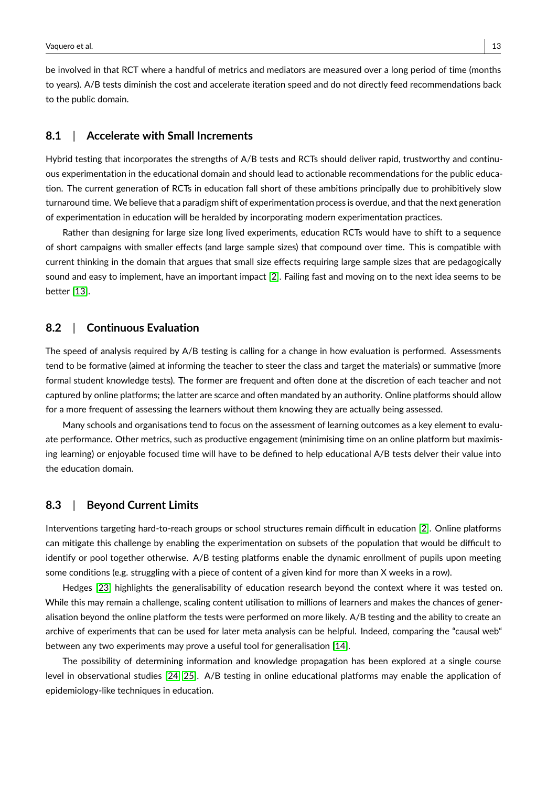be involved in that RCT where a handful of metrics and mediators are measured over a long period of time (months to years). A/B tests diminish the cost and accelerate iteration speed and do not directly feed recommendations back to the public domain.

## **8.1** | **Accelerate with Small Increments**

Hybrid testing that incorporates the strengths of A/B tests and RCTs should deliver rapid, trustworthy and continuous experimentation in the educational domain and should lead to actionable recommendations for the public education. The current generation of RCTs in education fall short of these ambitions principally due to prohibitively slow turnaround time. We believe that a paradigm shift of experimentation process is overdue, and that the next generation of experimentation in education will be heralded by incorporating modern experimentation practices.

Rather than designing for large size long lived experiments, education RCTs would have to shift to a sequence of short campaigns with smaller effects (and large sample sizes) that compound over time. This is compatible with current thinking in the domain that argues that small size effects requiring large sample sizes that are pedagogically sound and easy to implement, have an important impact [\[2\]](#page-14-1). Failing fast and moving on to the next idea seems to be better [\[13\]](#page-14-12).

## **8.2** | **Continuous Evaluation**

The speed of analysis required by A/B testing is calling for a change in how evaluation is performed. Assessments tend to be formative (aimed at informing the teacher to steer the class and target the materials) or summative (more formal student knowledge tests). The former are frequent and often done at the discretion of each teacher and not captured by online platforms; the latter are scarce and often mandated by an authority. Online platforms should allow for a more frequent of assessing the learners without them knowing they are actually being assessed.

Many schools and organisations tend to focus on the assessment of learning outcomes as a key element to evaluate performance. Other metrics, such as productive engagement (minimising time on an online platform but maximising learning) or enjoyable focused time will have to be defined to help educational A/B tests delver their value into the education domain.

## **8.3** | **Beyond Current Limits**

Interventions targeting hard-to-reach groups or school structures remain difficult in education [\[2\]](#page-14-1). Online platforms can mitigate this challenge by enabling the experimentation on subsets of the population that would be difficult to identify or pool together otherwise. A/B testing platforms enable the dynamic enrollment of pupils upon meeting some conditions (e.g. struggling with a piece of content of a given kind for more than X weeks in a row).

Hedges [\[23\]](#page-15-8) highlights the generalisability of education research beyond the context where it was tested on. While this may remain a challenge, scaling content utilisation to millions of learners and makes the chances of generalisation beyond the online platform the tests were performed on more likely. A/B testing and the ability to create an archive of experiments that can be used for later meta analysis can be helpful. Indeed, comparing the "causal web" between any two experiments may prove a useful tool for generalisation [\[14\]](#page-14-13).

The possibility of determining information and knowledge propagation has been explored at a single course level in observational studies [\[24,](#page-15-9) [25\]](#page-15-10). A/B testing in online educational platforms may enable the application of epidemiology-like techniques in education.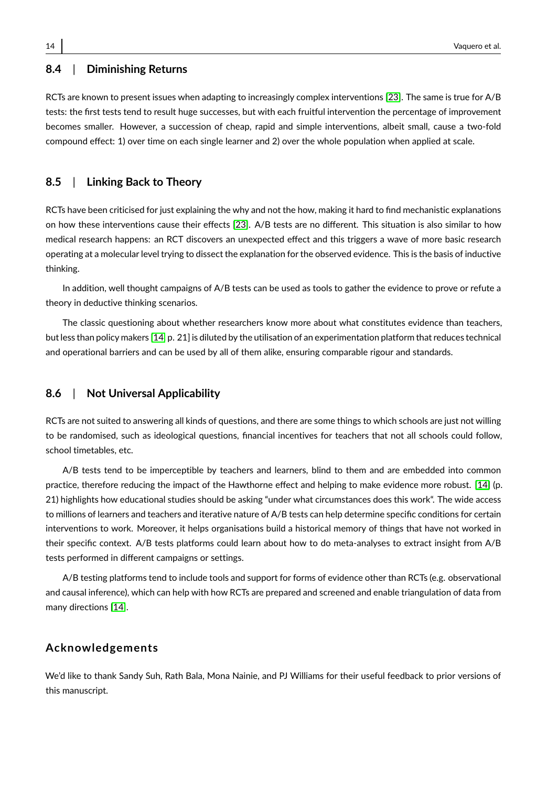## **8.4** | **Diminishing Returns**

RCTs are known to present issues when adapting to increasingly complex interventions [\[23\]](#page-15-8). The same is true for A/B tests: the first tests tend to result huge successes, but with each fruitful intervention the percentage of improvement becomes smaller. However, a succession of cheap, rapid and simple interventions, albeit small, cause a two-fold compound effect: 1) over time on each single learner and 2) over the whole population when applied at scale.

## **8.5** | **Linking Back to Theory**

RCTs have been criticised for just explaining the why and not the how, making it hard to find mechanistic explanations on how these interventions cause their effects [\[23\]](#page-15-8). A/B tests are no different. This situation is also similar to how medical research happens: an RCT discovers an unexpected effect and this triggers a wave of more basic research operating at a molecular level trying to dissect the explanation for the observed evidence. This is the basis of inductive thinking.

In addition, well thought campaigns of A/B tests can be used as tools to gather the evidence to prove or refute a theory in deductive thinking scenarios.

The classic questioning about whether researchers know more about what constitutes evidence than teachers, but less than policy makers [\[14,](#page-14-13) p. 21] is diluted by the utilisation of an experimentation platform that reduces technical and operational barriers and can be used by all of them alike, ensuring comparable rigour and standards.

### **8.6** | **Not Universal Applicability**

RCTs are not suited to answering all kinds of questions, and there are some things to which schools are just not willing to be randomised, such as ideological questions, financial incentives for teachers that not all schools could follow, school timetables, etc.

A/B tests tend to be imperceptible by teachers and learners, blind to them and are embedded into common practice, therefore reducing the impact of the Hawthorne effect and helping to make evidence more robust. [\[14\]](#page-14-13) (p. 21) highlights how educational studies should be asking "under what circumstances does this work". The wide access to millions of learners and teachers and iterative nature of A/B tests can help determine specific conditions for certain interventions to work. Moreover, it helps organisations build a historical memory of things that have not worked in their specific context. A/B tests platforms could learn about how to do meta-analyses to extract insight from A/B tests performed in different campaigns or settings.

A/B testing platforms tend to include tools and support for forms of evidence other than RCTs (e.g. observational and causal inference), which can help with how RCTs are prepared and screened and enable triangulation of data from many directions [\[14\]](#page-14-13).

## **Acknowledgements**

We'd like to thank Sandy Suh, Rath Bala, Mona Nainie, and PJ Williams for their useful feedback to prior versions of this manuscript.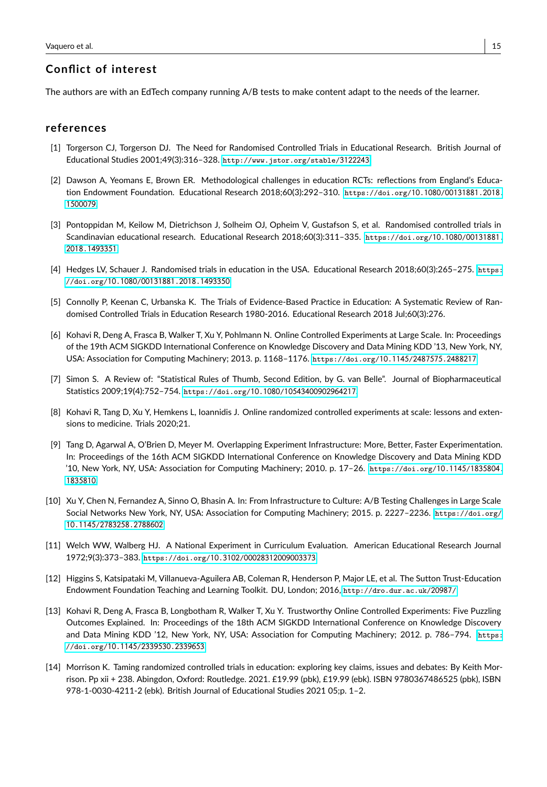# **Conflict of interest**

The authors are with an EdTech company running A/B tests to make content adapt to the needs of the learner.

#### **references**

- <span id="page-14-0"></span>[1] Torgerson CJ, Torgerson DJ. The Need for Randomised Controlled Trials in Educational Research. British Journal of Educational Studies 2001;49(3):316–328. [http://www.jstor.org/stable/](http://www.jstor.org/stable/3122243)3122243.
- <span id="page-14-1"></span>[2] Dawson A, Yeomans E, Brown ER. Methodological challenges in education RCTs: reflections from England's Education Endowment Foundation. Educational Research 2018;60(3):292–310. [https://doi.org/](https://doi.org/10.1080/00131881.2018.1500079)10.1080/00131881.2018. [1500079](https://doi.org/10.1080/00131881.2018.1500079).
- <span id="page-14-2"></span>[3] Pontoppidan M, Keilow M, Dietrichson J, Solheim OJ, Opheim V, Gustafson S, et al. Randomised controlled trials in Scandinavian educational research. Educational Research 2018;60(3):311–335. [https://doi.org/](https://doi.org/10.1080/00131881.2018.1493351)10.1080/00131881. 2018.[1493351](https://doi.org/10.1080/00131881.2018.1493351).
- <span id="page-14-3"></span>[4] Hedges LV, Schauer J. Randomised trials in education in the USA. Educational Research 2018;60(3):265–275. [https:](https://doi.org/10.1080/00131881.2018.1493350) [//doi.org/](https://doi.org/10.1080/00131881.2018.1493350)10.1080/00131881.2018.1493350.
- <span id="page-14-4"></span>[5] Connolly P, Keenan C, Urbanska K. The Trials of Evidence-Based Practice in Education: A Systematic Review of Randomised Controlled Trials in Education Research 1980-2016. Educational Research 2018 Jul;60(3):276.
- <span id="page-14-5"></span>[6] Kohavi R, Deng A, Frasca B, Walker T, Xu Y, Pohlmann N. Online Controlled Experiments at Large Scale. In: Proceedings of the 19th ACM SIGKDD International Conference on Knowledge Discovery and Data Mining KDD '13, New York, NY, USA: Association for Computing Machinery; 2013. p. 1168–1176. [https://doi.org/](https://doi.org/10.1145/2487575.2488217)10.1145/2487575.2488217.
- <span id="page-14-6"></span>[7] Simon S. A Review of: "Statistical Rules of Thumb, Second Edition, by G. van Belle". Journal of Biopharmaceutical Statistics 2009;19(4):752–754. https://doi.org/10.1080/[10543400902964217](https://doi.org/10.1080/10543400902964217).
- <span id="page-14-7"></span>[8] Kohavi R, Tang D, Xu Y, Hemkens L, Ioannidis J. Online randomized controlled experiments at scale: lessons and extensions to medicine. Trials 2020;21.
- <span id="page-14-8"></span>[9] Tang D, Agarwal A, O'Brien D, Meyer M. Overlapping Experiment Infrastructure: More, Better, Faster Experimentation. In: Proceedings of the 16th ACM SIGKDD International Conference on Knowledge Discovery and Data Mining KDD '10, New York, NY, USA: Association for Computing Machinery; 2010. p. 17–26. [https://doi.org/](https://doi.org/10.1145/1835804.1835810)10.1145/1835804. [1835810](https://doi.org/10.1145/1835804.1835810).
- <span id="page-14-9"></span>[10] Xu Y, Chen N, Fernandez A, Sinno O, Bhasin A. In: From Infrastructure to Culture: A/B Testing Challenges in Large Scale Social Networks New York, NY, USA: Association for Computing Machinery; 2015. p. 2227–2236. [https://doi.org/](https://doi.org/10.1145/2783258.2788602) 10.1145/[2783258](https://doi.org/10.1145/2783258.2788602).2788602.
- <span id="page-14-10"></span>[11] Welch WW, Walberg HJ. A National Experiment in Curriculum Evaluation. American Educational Research Journal 1972;9(3):373–383. https://doi.org/10.3102/[00028312009003373](https://doi.org/10.3102/00028312009003373).
- <span id="page-14-11"></span>[12] Higgins S, Katsipataki M, Villanueva-Aguilera AB, Coleman R, Henderson P, Major LE, et al. The Sutton Trust-Education Endowment Foundation Teaching and Learning Toolkit. DU, London; 2016, [http://dro.dur.ac.uk/](http://dro.dur.ac.uk/20987/)20987/.
- <span id="page-14-12"></span>[13] Kohavi R, Deng A, Frasca B, Longbotham R, Walker T, Xu Y. Trustworthy Online Controlled Experiments: Five Puzzling Outcomes Explained. In: Proceedings of the 18th ACM SIGKDD International Conference on Knowledge Discovery and Data Mining KDD '12, New York, NY, USA: Association for Computing Machinery; 2012. p. 786–794. [https:](https://doi.org/10.1145/2339530.2339653) [//doi.org/](https://doi.org/10.1145/2339530.2339653)10.1145/2339530.2339653.
- <span id="page-14-13"></span>[14] Morrison K. Taming randomized controlled trials in education: exploring key claims, issues and debates: By Keith Morrison. Pp xii + 238. Abingdon, Oxford: Routledge. 2021. £19.99 (pbk), £19.99 (ebk). ISBN 9780367486525 (pbk), ISBN 978-1-0030-4211-2 (ebk). British Journal of Educational Studies 2021 05;p. 1–2.